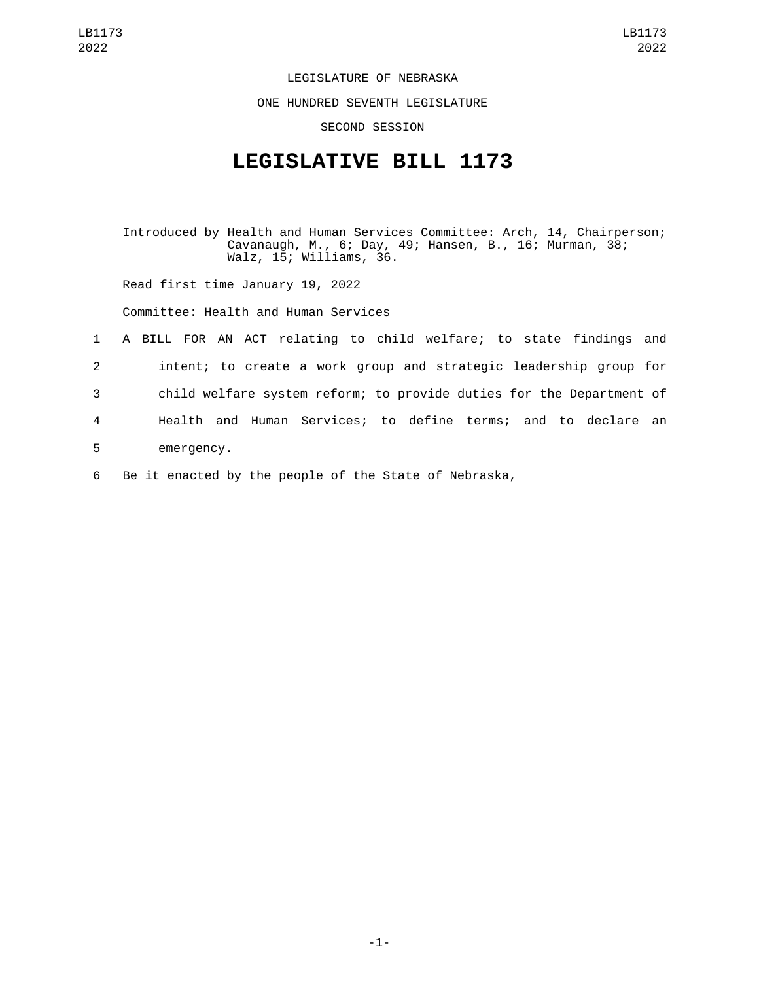LEGISLATURE OF NEBRASKA

ONE HUNDRED SEVENTH LEGISLATURE

SECOND SESSION

## **LEGISLATIVE BILL 1173**

Introduced by Health and Human Services Committee: Arch, 14, Chairperson; Cavanaugh, M., 6; Day, 49; Hansen, B., 16; Murman, 38; Walz, 15; Williams, 36.

Read first time January 19, 2022

Committee: Health and Human Services

 A BILL FOR AN ACT relating to child welfare; to state findings and intent; to create a work group and strategic leadership group for child welfare system reform; to provide duties for the Department of Health and Human Services; to define terms; and to declare an 5 emergency.

6 Be it enacted by the people of the State of Nebraska,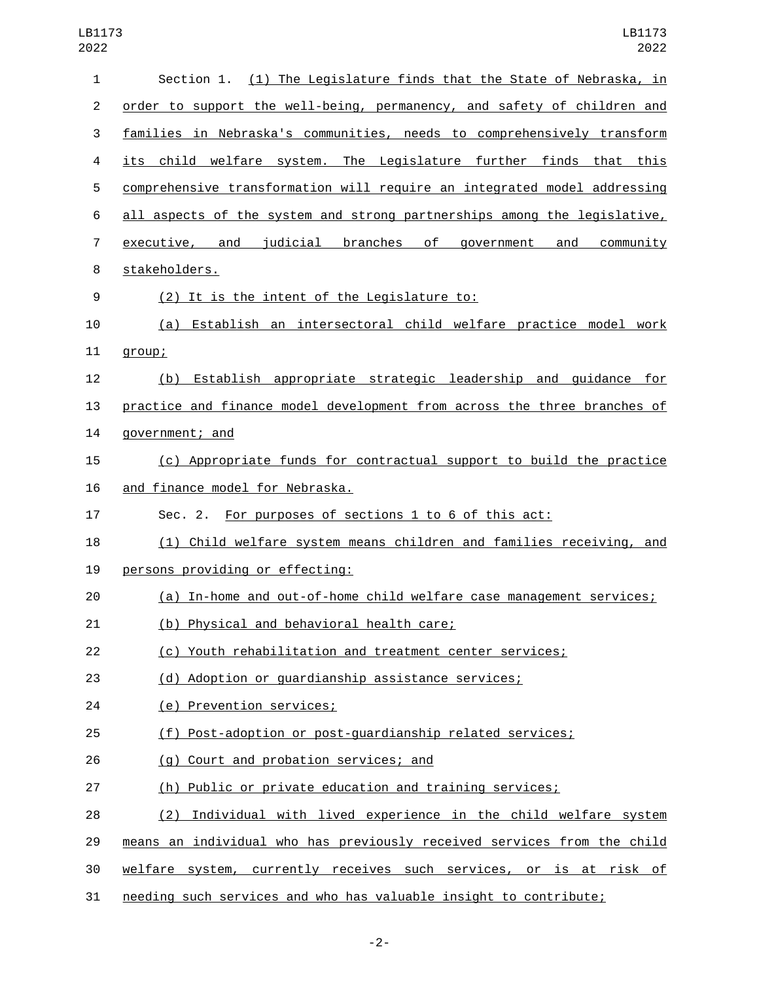| 1              | Section 1. (1) The Legislature finds that the State of Nebraska, in      |
|----------------|--------------------------------------------------------------------------|
| $\overline{c}$ | order to support the well-being, permanency, and safety of children and  |
| 3              | families in Nebraska's communities, needs to comprehensively transform   |
| 4              | its child welfare system. The Legislature further finds that this        |
| 5              | comprehensive transformation will require an integrated model addressing |
| 6              | all aspects of the system and strong partnerships among the legislative, |
| $\overline{7}$ | executive, and judicial branches of government and community             |
| 8              | stakeholders.                                                            |
| 9              | (2) It is the intent of the Legislature to:                              |
| 10             | (a) Establish an intersectoral child welfare practice model work         |
| 11             | group;                                                                   |
| 12             | (b) Establish appropriate strategic leadership and guidance for          |
| 13             | practice and finance model development from across the three branches of |
| 14             | government; and                                                          |
| 15             | (c) Appropriate funds for contractual support to build the practice      |
| 16             | and finance model for Nebraska.                                          |
| 17             | Sec. 2. For purposes of sections 1 to 6 of this act:                     |
| 18             | (1) Child welfare system means children and families receiving, and      |
| 19             | persons providing or effecting:                                          |
| 20             | (a) In-home and out-of-home child welfare case management services;      |
| 21             | (b) Physical and behavioral health care;                                 |
| 22             | (c) Youth rehabilitation and treatment center services;                  |
| 23             | (d) Adoption or guardianship assistance services;                        |
| 24             | (e) Prevention services;                                                 |
| 25             | (f) Post-adoption or post-guardianship related services;                 |
| 26             | (g) Court and probation services; and                                    |
| 27             | (h) Public or private education and training services;                   |
| 28             | (2) Individual with lived experience in the child welfare system         |
| 29             | means an individual who has previously received services from the child  |
| 30             | welfare system, currently receives such services, or is at risk of       |
| 31             | needing such services and who has valuable insight to contribute;        |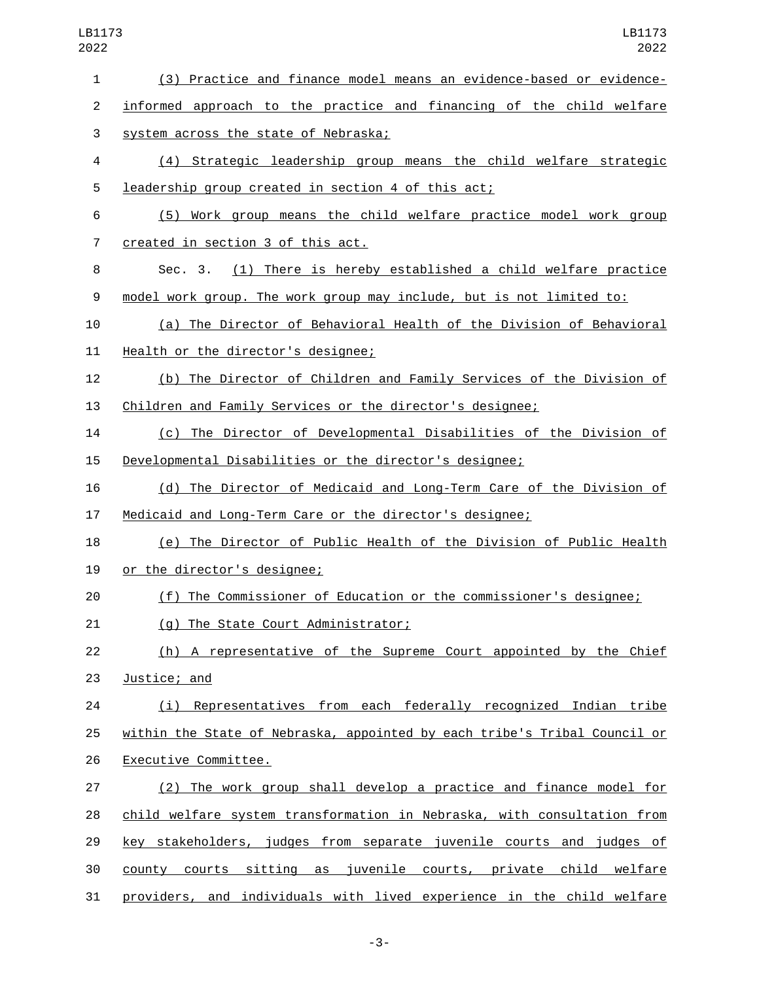| $\mathbf{1}$ | (3) Practice and finance model means an evidence-based or evidence-       |
|--------------|---------------------------------------------------------------------------|
| 2            | informed approach to the practice and financing of the child welfare      |
| 3            | system across the state of Nebraska;                                      |
| 4            | (4) Strategic leadership group means the child welfare strategic          |
| 5            | leadership group created in section 4 of this act;                        |
| 6            | (5) Work group means the child welfare practice model work group          |
| 7            | created in section 3 of this act.                                         |
| 8            | Sec. 3. (1) There is hereby established a child welfare practice          |
| 9            | model work group. The work group may include, but is not limited to:      |
| 10           | (a) The Director of Behavioral Health of the Division of Behavioral       |
| 11           | Health or the director's designee;                                        |
| 12           | (b) The Director of Children and Family Services of the Division of       |
| 13           | Children and Family Services or the director's designee;                  |
| 14           | (c) The Director of Developmental Disabilities of the Division of         |
| 15           | Developmental Disabilities or the director's designee;                    |
| 16           | (d) The Director of Medicaid and Long-Term Care of the Division of        |
| 17           | Medicaid and Long-Term Care or the director's designee;                   |
| 18           | (e) The Director of Public Health of the Division of Public Health        |
| 19           | or the director's designee;                                               |
| 20           | (f) The Commissioner of Education or the commissioner's designee;         |
| 21           | (g) The State Court Administrator;                                        |
| 22           | (h) A representative of the Supreme Court appointed by the Chief          |
| 23           | Justice; and                                                              |
| 24           | (i) Representatives from each federally recognized Indian tribe           |
| 25           | within the State of Nebraska, appointed by each tribe's Tribal Council or |
| 26           | Executive Committee.                                                      |
| 27           | (2) The work group shall develop a practice and finance model for         |
| 28           | child welfare system transformation in Nebraska, with consultation from   |
| 29           | key stakeholders, judges from separate juvenile courts and judges of      |
| 30           | county courts sitting as juvenile courts, private child welfare           |
| 31           | providers, and individuals with lived experience in the child welfare     |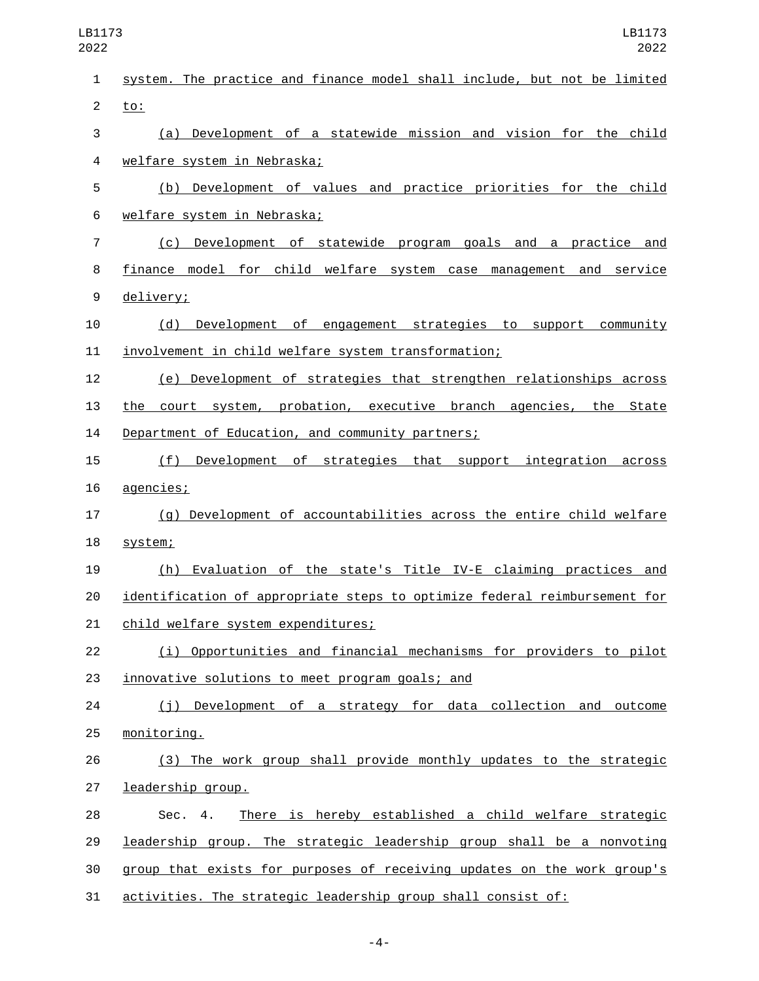| $\mathbf{1}$   | system. The practice and finance model shall include, but not be limited  |
|----------------|---------------------------------------------------------------------------|
| $\overline{c}$ | $\underline{\text{to}}$ :                                                 |
| 3              | (a) Development of a statewide mission and vision for the child           |
| 4              | welfare system in Nebraska;                                               |
| 5              | (b) Development of values and practice priorities for the child           |
| 6              | welfare system in Nebraska;                                               |
| $\overline{7}$ | (c) Development of statewide program goals and a practice and             |
| 8              | finance model for child welfare system case management and service        |
| 9              | delivery;                                                                 |
| 10             | (d) Development of engagement strategies to support community             |
| 11             | involvement in child welfare system transformation;                       |
| 12             | (e) Development of strategies that strengthen relationships across        |
| 13             | the court system, probation, executive branch agencies, the State         |
| 14             | Department of Education, and community partners;                          |
| 15             | Development of strategies that support integration across<br>(f)          |
| 16             | agencies;                                                                 |
| 17             | (g) Development of accountabilities across the entire child welfare       |
| 18             | system;                                                                   |
| 19             | (h) Evaluation of the state's Title IV-E claiming practices and           |
| 20             | identification of appropriate steps to optimize federal reimbursement for |
| 21             | <u>child welfare system expenditures;</u>                                 |
| 22             | (i) Opportunities and financial mechanisms for providers to pilot         |
| 23             | innovative solutions to meet program goals; and                           |
| 24             | (j) Development of a strategy for data collection and outcome             |
| 25             | monitoring.                                                               |
| 26             | (3) The work group shall provide monthly updates to the strategic         |
| 27             | leadership group.                                                         |
| 28             | There is hereby established a child welfare strategic<br>Sec. 4.          |
| 29             | leadership group. The strategic leadership group shall be a nonvoting     |
| 30             | group that exists for purposes of receiving updates on the work group's   |
| 31             | activities. The strategic leadership group shall consist of:              |